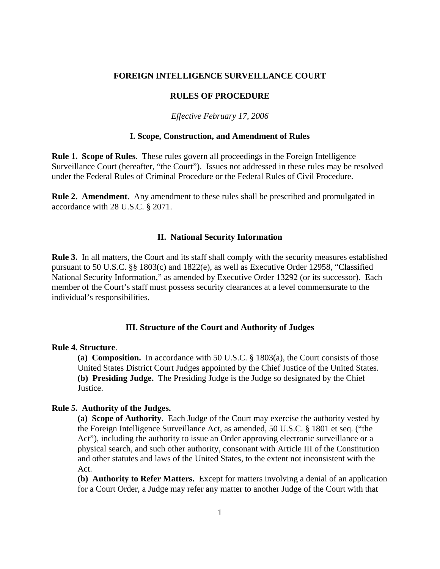#### **FOREIGN INTELLIGENCE SURVEILLANCE COURT**

# **RULES OF PROCEDURE**

### *Effective February 17, 2006*

# **I. Scope, Construction, and Amendment of Rules**

**Rule 1. Scope of Rules**. These rules govern all proceedings in the Foreign Intelligence Surveillance Court (hereafter, "the Court"). Issues not addressed in these rules may be resolved under the Federal Rules of Criminal Procedure or the Federal Rules of Civil Procedure.

**Rule 2. Amendment**. Any amendment to these rules shall be prescribed and promulgated in accordance with 28 U.S.C. § 2071.

# **II. National Security Information**

**Rule 3.** In all matters, the Court and its staff shall comply with the security measures established pursuant to 50 U.S.C. §§ 1803(c) and 1822(e), as well as Executive Order 12958, "Classified National Security Information," as amended by Executive Order 13292 (or its successor). Each member of the Court's staff must possess security clearances at a level commensurate to the individual's responsibilities.

# **III. Structure of the Court and Authority of Judges**

# **Rule 4. Structure**.

**(a) Composition.** In accordance with 50 U.S.C. § 1803(a), the Court consists of those United States District Court Judges appointed by the Chief Justice of the United States. **(b) Presiding Judge.** The Presiding Judge is the Judge so designated by the Chief Justice.

# **Rule 5. Authority of the Judges.**

**(a) Scope of Authority**. Each Judge of the Court may exercise the authority vested by the Foreign Intelligence Surveillance Act, as amended, 50 U.S.C. § 1801 et seq. ("the Act"), including the authority to issue an Order approving electronic surveillance or a physical search, and such other authority, consonant with Article III of the Constitution and other statutes and laws of the United States, to the extent not inconsistent with the Act.

**(b) Authority to Refer Matters.** Except for matters involving a denial of an application for a Court Order, a Judge may refer any matter to another Judge of the Court with that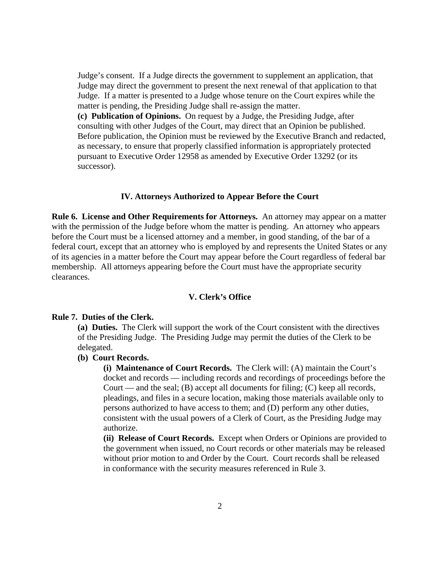Judge's consent. If a Judge directs the government to supplement an application, that Judge may direct the government to present the next renewal of that application to that Judge. If a matter is presented to a Judge whose tenure on the Court expires while the matter is pending, the Presiding Judge shall re-assign the matter.

**(c) Publication of Opinions.** On request by a Judge, the Presiding Judge, after consulting with other Judges of the Court, may direct that an Opinion be published. Before publication, the Opinion must be reviewed by the Executive Branch and redacted, as necessary, to ensure that properly classified information is appropriately protected pursuant to Executive Order 12958 as amended by Executive Order 13292 (or its successor).

#### **IV. Attorneys Authorized to Appear Before the Court**

**Rule 6. License and Other Requirements for Attorneys.** An attorney may appear on a matter with the permission of the Judge before whom the matter is pending. An attorney who appears before the Court must be a licensed attorney and a member, in good standing, of the bar of a federal court, except that an attorney who is employed by and represents the United States or any of its agencies in a matter before the Court may appear before the Court regardless of federal bar membership. All attorneys appearing before the Court must have the appropriate security clearances.

# **V. Clerk's Office**

#### **Rule 7. Duties of the Clerk.**

**(a) Duties.** The Clerk will support the work of the Court consistent with the directives of the Presiding Judge. The Presiding Judge may permit the duties of the Clerk to be delegated.

# **(b) Court Records.**

**(i) Maintenance of Court Records.** The Clerk will: (A) maintain the Court's docket and records — including records and recordings of proceedings before the Court — and the seal; (B) accept all documents for filing; (C) keep all records, pleadings, and files in a secure location, making those materials available only to persons authorized to have access to them; and (D) perform any other duties, consistent with the usual powers of a Clerk of Court, as the Presiding Judge may authorize.

**(ii) Release of Court Records.** Except when Orders or Opinions are provided to the government when issued, no Court records or other materials may be released without prior motion to and Order by the Court. Court records shall be released in conformance with the security measures referenced in Rule 3.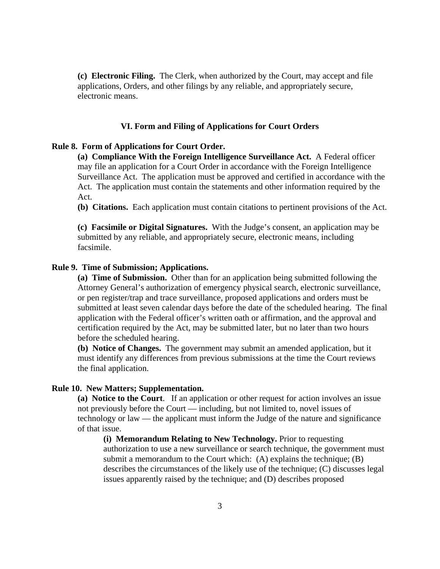**(c) Electronic Filing.** The Clerk, when authorized by the Court, may accept and file applications, Orders, and other filings by any reliable, and appropriately secure, electronic means.

# **VI. Form and Filing of Applications for Court Orders**

# **Rule 8. Form of Applications for Court Order.**

**(a) Compliance With the Foreign Intelligence Surveillance Act.** A Federal officer may file an application for a Court Order in accordance with the Foreign Intelligence Surveillance Act. The application must be approved and certified in accordance with the Act. The application must contain the statements and other information required by the Act.

**(b) Citations.** Each application must contain citations to pertinent provisions of the Act.

**(c) Facsimile or Digital Signatures.** With the Judge's consent, an application may be submitted by any reliable, and appropriately secure, electronic means, including facsimile.

#### **Rule 9. Time of Submission; Applications.**

**(a) Time of Submission.** Other than for an application being submitted following the Attorney General's authorization of emergency physical search, electronic surveillance, or pen register/trap and trace surveillance, proposed applications and orders must be submitted at least seven calendar days before the date of the scheduled hearing. The final application with the Federal officer's written oath or affirmation, and the approval and certification required by the Act, may be submitted later, but no later than two hours before the scheduled hearing.

**(b) Notice of Changes.** The government may submit an amended application, but it must identify any differences from previous submissions at the time the Court reviews the final application.

# **Rule 10. New Matters; Supplementation.**

**(a) Notice to the Court**. If an application or other request for action involves an issue not previously before the Court — including, but not limited to, novel issues of technology or law — the applicant must inform the Judge of the nature and significance of that issue.

**(i) Memorandum Relating to New Technology.** Prior to requesting authorization to use a new surveillance or search technique, the government must submit a memorandum to the Court which: (A) explains the technique; (B) describes the circumstances of the likely use of the technique; (C) discusses legal issues apparently raised by the technique; and (D) describes proposed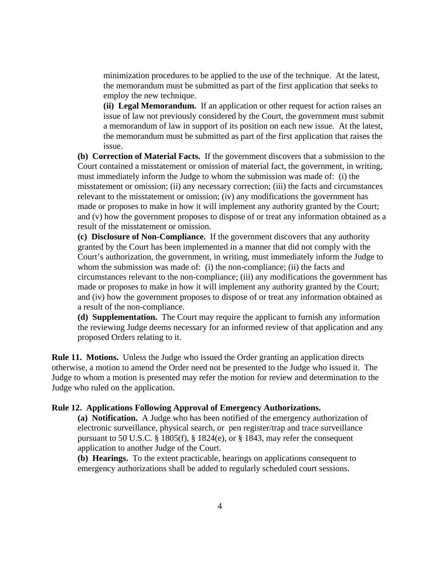minimization procedures to be applied to the use of the technique. At the latest, the memorandum must be submitted as part of the first application that seeks to employ the new technique.

**(ii) Legal Memorandum.** If an application or other request for action raises an issue of law not previously considered by the Court, the government must submit a memorandum of law in support of its position on each new issue. At the latest, the memorandum must be submitted as part of the first application that raises the issue.

**(b) Correction of Material Facts.** If the government discovers that a submission to the Court contained a misstatement or omission of material fact, the government, in writing, must immediately inform the Judge to whom the submission was made of: (i) the misstatement or omission; (ii) any necessary correction; (iii) the facts and circumstances relevant to the misstatement or omission; (iv) any modifications the government has made or proposes to make in how it will implement any authority granted by the Court; and (v) how the government proposes to dispose of or treat any information obtained as a result of the misstatement or omission.

**(c) Disclosure of Non-Compliance.** If the government discovers that any authority granted by the Court has been implemented in a manner that did not comply with the Court's authorization, the government, in writing, must immediately inform the Judge to whom the submission was made of: (i) the non-compliance; (ii) the facts and circumstances relevant to the non-compliance; (iii) any modifications the government has made or proposes to make in how it will implement any authority granted by the Court; and (iv) how the government proposes to dispose of or treat any information obtained as a result of the non-compliance.

**(d) Supplementation.** The Court may require the applicant to furnish any information the reviewing Judge deems necessary for an informed review of that application and any proposed Orders relating to it.

**Rule 11. Motions.** Unless the Judge who issued the Order granting an application directs otherwise, a motion to amend the Order need not be presented to the Judge who issued it. The Judge to whom a motion is presented may refer the motion for review and determination to the Judge who ruled on the application.

# **Rule 12. Applications Following Approval of Emergency Authorizations.**

**(a) Notification.** A Judge who has been notified of the emergency authorization of electronic surveillance, physical search, or pen register/trap and trace surveillance pursuant to 50 U.S.C. § 1805(f), § 1824(e), or § 1843, may refer the consequent application to another Judge of the Court.

**(b) Hearings.** To the extent practicable, hearings on applications consequent to emergency authorizations shall be added to regularly scheduled court sessions.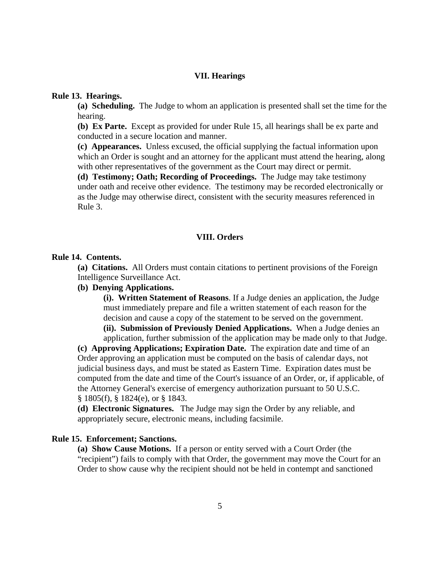# **VII. Hearings**

# **Rule 13. Hearings.**

**(a) Scheduling.** The Judge to whom an application is presented shall set the time for the hearing.

**(b) Ex Parte.** Except as provided for under Rule 15, all hearings shall be ex parte and conducted in a secure location and manner.

**(c) Appearances.** Unless excused, the official supplying the factual information upon which an Order is sought and an attorney for the applicant must attend the hearing, along with other representatives of the government as the Court may direct or permit.

**(d) Testimony; Oath; Recording of Proceedings.** The Judge may take testimony under oath and receive other evidence. The testimony may be recorded electronically or as the Judge may otherwise direct, consistent with the security measures referenced in Rule 3.

# **VIII. Orders**

#### **Rule 14. Contents.**

**(a) Citations.** All Orders must contain citations to pertinent provisions of the Foreign Intelligence Surveillance Act.

# **(b) Denying Applications.**

**(i). Written Statement of Reasons**. If a Judge denies an application, the Judge must immediately prepare and file a written statement of each reason for the decision and cause a copy of the statement to be served on the government. **(ii). Submission of Previously Denied Applications.** When a Judge denies an application, further submission of the application may be made only to that Judge.

**(c) Approving Applications; Expiration Date.** The expiration date and time of an Order approving an application must be computed on the basis of calendar days, not judicial business days, and must be stated as Eastern Time. Expiration dates must be computed from the date and time of the Court's issuance of an Order, or, if applicable, of the Attorney General's exercise of emergency authorization pursuant to 50 U.S.C. § 1805(f), § 1824(e), or § 1843.

**(d) Electronic Signatures.** The Judge may sign the Order by any reliable, and appropriately secure, electronic means, including facsimile.

### **Rule 15. Enforcement; Sanctions.**

**(a) Show Cause Motions.** If a person or entity served with a Court Order (the "recipient") fails to comply with that Order, the government may move the Court for an Order to show cause why the recipient should not be held in contempt and sanctioned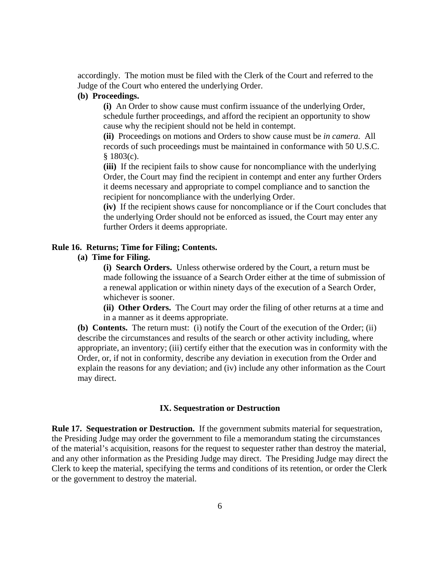accordingly. The motion must be filed with the Clerk of the Court and referred to the Judge of the Court who entered the underlying Order.

# **(b) Proceedings.**

**(i)** An Order to show cause must confirm issuance of the underlying Order, schedule further proceedings, and afford the recipient an opportunity to show cause why the recipient should not be held in contempt.

**(ii)** Proceedings on motions and Orders to show cause must be *in camera*. All records of such proceedings must be maintained in conformance with 50 U.S.C.  $$1803(c)$ .

**(iii)** If the recipient fails to show cause for noncompliance with the underlying Order, the Court may find the recipient in contempt and enter any further Orders it deems necessary and appropriate to compel compliance and to sanction the recipient for noncompliance with the underlying Order.

**(iv)** If the recipient shows cause for noncompliance or if the Court concludes that the underlying Order should not be enforced as issued, the Court may enter any further Orders it deems appropriate.

# **Rule 16. Returns; Time for Filing; Contents.**

# **(a) Time for Filing.**

**(i) Search Orders.** Unless otherwise ordered by the Court, a return must be made following the issuance of a Search Order either at the time of submission of a renewal application or within ninety days of the execution of a Search Order, whichever is sooner.

**(ii) Other Orders.** The Court may order the filing of other returns at a time and in a manner as it deems appropriate.

**(b) Contents.** The return must: (i) notify the Court of the execution of the Order; (ii) describe the circumstances and results of the search or other activity including, where appropriate, an inventory; (iii) certify either that the execution was in conformity with the Order, or, if not in conformity, describe any deviation in execution from the Order and explain the reasons for any deviation; and (iv) include any other information as the Court may direct.

# **IX. Sequestration or Destruction**

**Rule 17. Sequestration or Destruction.** If the government submits material for sequestration, the Presiding Judge may order the government to file a memorandum stating the circumstances of the material's acquisition, reasons for the request to sequester rather than destroy the material, and any other information as the Presiding Judge may direct. The Presiding Judge may direct the Clerk to keep the material, specifying the terms and conditions of its retention, or order the Clerk or the government to destroy the material.